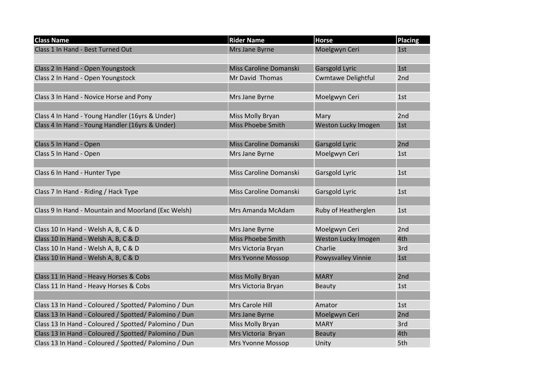| <b>Class Name</b>                                     | <b>Rider Name</b>        | <b>Horse</b>              | <b>Placing</b> |
|-------------------------------------------------------|--------------------------|---------------------------|----------------|
| Class 1 In Hand - Best Turned Out                     | Mrs Jane Byrne           | Moelgwyn Ceri             | 1st            |
|                                                       |                          |                           |                |
| Class 2 In Hand - Open Youngstock                     | Miss Caroline Domanski   | <b>Garsgold Lyric</b>     | 1st            |
| Class 2 In Hand - Open Youngstock                     | Mr David Thomas          | <b>Cwmtawe Delightful</b> | 2nd            |
|                                                       |                          |                           |                |
| Class 3 In Hand - Novice Horse and Pony               | Mrs Jane Byrne           | Moelgwyn Ceri             | 1st            |
|                                                       |                          |                           |                |
| Class 4 In Hand - Young Handler (16yrs & Under)       | Miss Molly Bryan         | Mary                      | 2nd            |
| Class 4 In Hand - Young Handler (16yrs & Under)       | <b>Miss Phoebe Smith</b> | Weston Lucky Imogen       | 1st            |
|                                                       |                          |                           |                |
| Class 5 In Hand - Open                                | Miss Caroline Domanski   | <b>Garsgold Lyric</b>     | 2nd            |
| Class 5 In Hand - Open                                | Mrs Jane Byrne           | Moelgwyn Ceri             | 1st            |
|                                                       |                          |                           |                |
| Class 6 In Hand - Hunter Type                         | Miss Caroline Domanski   | Garsgold Lyric            | 1st            |
|                                                       |                          |                           |                |
| Class 7 In Hand - Riding / Hack Type                  | Miss Caroline Domanski   | Garsgold Lyric            | 1st            |
|                                                       |                          |                           |                |
| Class 9 In Hand - Mountain and Moorland (Exc Welsh)   | Mrs Amanda McAdam        | Ruby of Heatherglen       | 1st            |
|                                                       |                          |                           |                |
| Class 10 In Hand - Welsh A, B, C & D                  | Mrs Jane Byrne           | Moelgwyn Ceri             | 2nd            |
| Class 10 In Hand - Welsh A, B, C & D                  | <b>Miss Phoebe Smith</b> | Weston Lucky Imogen       | 4th            |
| Class 10 In Hand - Welsh A, B, C & D                  | Mrs Victoria Bryan       | Charlie                   | 3rd            |
| Class 10 In Hand - Welsh A, B, C & D                  | Mrs Yvonne Mossop        | Powysvalley Vinnie        | 1st            |
|                                                       |                          |                           |                |
| Class 11 In Hand - Heavy Horses & Cobs                | <b>Miss Molly Bryan</b>  | <b>MARY</b>               | 2nd            |
| Class 11 In Hand - Heavy Horses & Cobs                | Mrs Victoria Bryan       | <b>Beauty</b>             | 1st            |
|                                                       |                          |                           |                |
| Class 13 In Hand - Coloured / Spotted/ Palomino / Dun | Mrs Carole Hill          | Amator                    | 1st            |
| Class 13 In Hand - Coloured / Spotted/ Palomino / Dun | Mrs Jane Byrne           | Moelgwyn Ceri             | 2nd            |
| Class 13 In Hand - Coloured / Spotted/ Palomino / Dun | Miss Molly Bryan         | <b>MARY</b>               | 3rd            |
| Class 13 In Hand - Coloured / Spotted/ Palomino / Dun | Mrs Victoria Bryan       | <b>Beauty</b>             | 4th            |
| Class 13 In Hand - Coloured / Spotted/ Palomino / Dun | <b>Mrs Yvonne Mossop</b> | Unity                     | 5th            |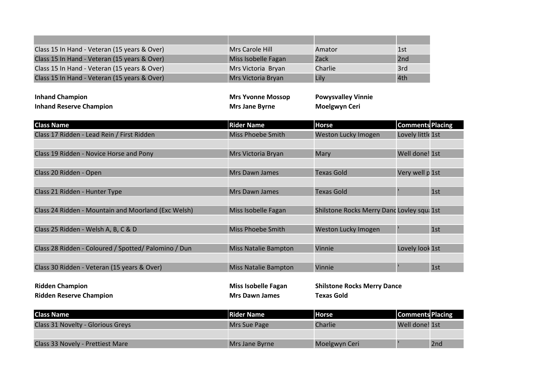| Class 15 In Hand - Veteran (15 years & Over) | Mrs Carole Hill     | Amator  | 1st |
|----------------------------------------------|---------------------|---------|-----|
| Class 15 In Hand - Veteran (15 years & Over) | Miss Isobelle Fagan | Zack    | 2nd |
| Class 15 In Hand - Veteran (15 years & Over) | Mrs Victoria Bryan  | Charlie | 3rd |
| Class 15 In Hand - Veteran (15 years & Over) | Mrs Victoria Bryan  | Lily    | 4th |

| <b>Inhand Champion</b>         | <b>Mrs Yvonne Mossop</b> | <b>Powysvalley Vinnie</b> |
|--------------------------------|--------------------------|---------------------------|
| <b>Inhand Reserve Champion</b> | <b>Mrs Jane Byrne</b>    | Moelgwyn Ceri             |

| <b>Class Name</b>                                    | <b>Rider Name</b>           | Horse                                     | <b>Comments Placing</b> |
|------------------------------------------------------|-----------------------------|-------------------------------------------|-------------------------|
| Class 17 Ridden - Lead Rein / First Ridden           | Miss Phoebe Smith           | Weston Lucky Imogen                       | Lovely little 1st       |
| Class 19 Ridden - Novice Horse and Pony              | Mrs Victoria Bryan          | Mary                                      | Well done! 1st          |
| Class 20 Ridden - Open                               | Mrs Dawn James              | <b>Texas Gold</b>                         | Very well p 1st         |
| Class 21 Ridden - Hunter Type                        | Mrs Dawn James              | <b>Texas Gold</b>                         | 1st                     |
| Class 24 Ridden - Mountain and Moorland (Exc Welsh)  | Miss Isobelle Fagan         | Shilstone Rocks Merry Danc Lovley squalst |                         |
| Class 25 Ridden - Welsh A, B, C & D                  | Miss Phoebe Smith           | Weston Lucky Imogen                       | 1st                     |
| Class 28 Ridden - Coloured / Spotted/ Palomino / Dun | Miss Natalie Bampton Vinnie |                                           | Lovely look 1st         |
| Class 30 Ridden - Veteran (15 years & Over)          | Miss Natalie Bampton        | Vinnie                                    | 1st                     |

**Ridden Champion Miss Isobelle Fagan Shilstone Rocks Merry Dance Ridden Reserve Champion Mrs Dawn James Texas Gold**

**Class Name Rider Name Rider Name Horse Horse Comments Placing** Class 31 Novelty - Glorious Greys Mrs Sue Page Charlie Charlie Well done! 1st Class 33 Novely - Prettiest Mare Mate Mate Mate Mrs Jane Byrne Moelgwyn Ceri 1999 | Moelgwyn Ceri | 2nd